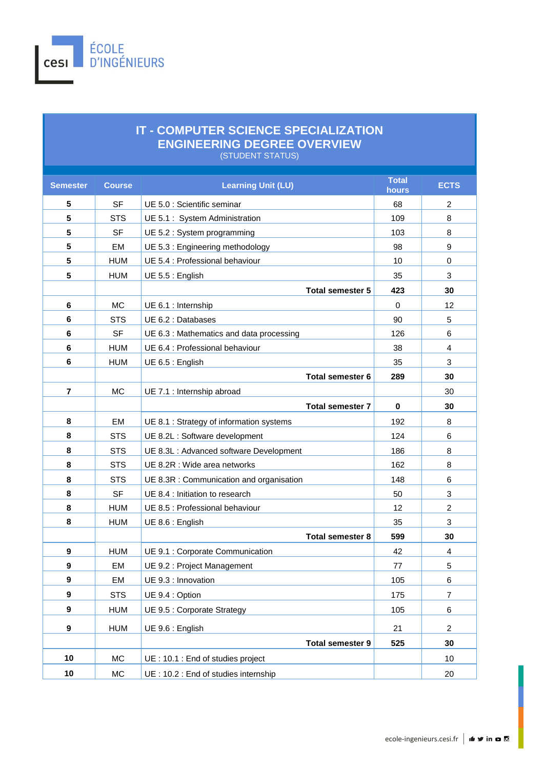

## **IT - COMPUTER SCIENCE SPECIALIZATION ENGINEERING DEGREE OVERVIEW**  (STUDENT STATUS)

| <b>Semester</b> | <b>Course</b> | <b>Learning Unit (LU)</b>                                             | <b>Total</b><br>hours | <b>ECTS</b>     |
|-----------------|---------------|-----------------------------------------------------------------------|-----------------------|-----------------|
| 5               | <b>SF</b>     | UE 5.0 : Scientific seminar                                           | 68                    | 2               |
| 5               | <b>STS</b>    | UE 5.1 : System Administration                                        | 109                   | 8               |
| 5               | <b>SF</b>     | UE 5.2 : System programming                                           | 103                   | 8               |
| 5               | EM            | UE 5.3 : Engineering methodology                                      | 98                    | 9               |
| 5               | <b>HUM</b>    | UE 5.4 : Professional behaviour                                       | 10                    | 0               |
| 5               | <b>HUM</b>    | UE 5.5 : English                                                      | 35                    | 3               |
|                 |               | <b>Total semester 5</b>                                               | 423                   | 30              |
| 6               | <b>MC</b>     | UE 6.1 : Internship                                                   | $\mathbf 0$           | 12              |
| 6               | <b>STS</b>    | UE 6.2 : Databases                                                    | 90                    | 5               |
| 6               | <b>SF</b>     | UE 6.3 : Mathematics and data processing                              | 126                   | 6               |
| 6               | <b>HUM</b>    | UE 6.4 : Professional behaviour                                       | 38                    | 4               |
| 6               | <b>HUM</b>    | UE 6.5 : English                                                      | 35                    | 3               |
|                 |               | <b>Total semester 6</b>                                               | 289                   | 30              |
| $\overline{7}$  | <b>MC</b>     | UE 7.1 : Internship abroad                                            |                       | 30              |
|                 |               | <b>Total semester 7</b>                                               | $\bf{0}$              | 30              |
| 8               | EM            | UE 8.1 : Strategy of information systems                              | 192                   | 8               |
| 8               | <b>STS</b>    | UE 8.2L : Software development                                        | 124                   | 6               |
| 8               | <b>STS</b>    | UE 8.3L : Advanced software Development                               | 186                   | 8               |
| 8               | <b>STS</b>    | UE 8.2R : Wide area networks                                          | 162                   | 8               |
| 8               | <b>STS</b>    | UE 8.3R : Communication and organisation                              | 148                   | 6               |
| 8               | <b>SF</b>     | UE 8.4 : Initiation to research                                       | 50                    | 3               |
| 8               | <b>HUM</b>    | UE 8.5 : Professional behaviour                                       | 12                    | $\overline{c}$  |
| 8               | <b>HUM</b>    | UE 8.6 : English                                                      | 35                    | 3               |
|                 |               | <b>Total semester 8</b>                                               | 599                   | 30              |
| 9               | <b>HUM</b>    | UE 9.1 : Corporate Communication                                      | 42                    | 4               |
| 9               | <b>EM</b>     | UE 9.2 : Project Management                                           | 77                    | 5               |
| 9               | EM            | UE 9.3 : Innovation<br>UE 9.4 : Option<br>UE 9.5 : Corporate Strategy |                       | $6 \overline{}$ |
| 9               | <b>STS</b>    |                                                                       | 175                   | $\overline{7}$  |
| 9               | <b>HUM</b>    |                                                                       | 105                   | 6               |
| 9               | <b>HUM</b>    | UE 9.6 : English                                                      | 21                    | $\overline{c}$  |
|                 |               | <b>Total semester 9</b>                                               | 525                   | 30              |
| 10              | MC            | UE: 10.1 : End of studies project                                     |                       | 10              |
| 10              | MC            | UE: 10.2 : End of studies internship                                  |                       | 20              |